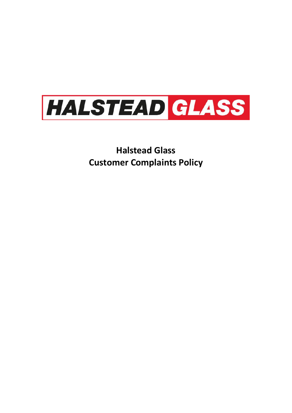

**Halstead Glass Customer Complaints Policy**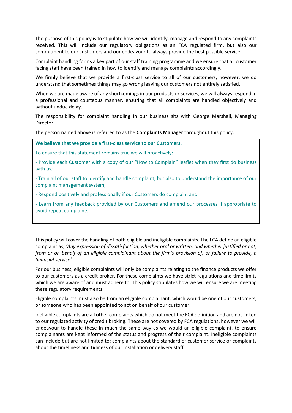The purpose of this policy is to stipulate how we will identify, manage and respond to any complaints received. This will include our regulatory obligations as an FCA regulated firm, but also our commitment to our customers and our endeavour to always provide the best possible service.

Complaint handling forms a key part of our staff training programme and we ensure that all customer facing staff have been trained in how to identify and manage complaints accordingly.

We firmly believe that we provide a first-class service to all of our customers, however, we do understand that sometimes things may go wrong leaving our customers not entirely satisfied.

When we are made aware of any shortcomings in our products or services, we will always respond in a professional and courteous manner, ensuring that all complaints are handled objectively and without undue delay.

The responsibility for complaint handling in our business sits with George Marshall, Managing Director.

The person named above is referred to as the **Complaints Manager** throughout this policy.

**We believe that we provide a first-class service to our Customers.**

To ensure that this statement remains true we will proactively:

- Provide each Customer with a copy of our "How to Complain" leaflet when they first do business with us;

- Train all of our staff to identify and handle complaint, but also to understand the importance of our complaint management system;

- Respond positively and professionally if our Customers do complain; and

- Learn from any feedback provided by our Customers and amend our processes if appropriate to avoid repeat complaints.

This policy will cover the handling of both eligible and ineligible complaints. The FCA define an eligible complaint as, *'Any expression of dissatisfaction, whether oral or written, and whether justified or not, from or on behalf of an eligible complainant about the firm's provision of, or failure to provide, a financial service'.*

For our business, eligible complaints will only be complaints relating to the finance products we offer to our customers as a credit broker. For these complaints we have strict regulations and time limits which we are aware of and must adhere to. This policy stipulates how we will ensure we are meeting these regulatory requirements.

Eligible complaints must also be from an eligible complainant, which would be one of our customers, or someone who has been appointed to act on behalf of our customer.

Ineligible complaints are all other complaints which do not meet the FCA definition and are not linked to our regulated activity of credit broking. These are not covered by FCA regulations, however we will endeavour to handle these in much the same way as we would an eligible complaint, to ensure complainants are kept informed of the status and progress of their complaint. Ineligible complaints can include but are not limited to; complaints about the standard of customer service or complaints about the timeliness and tidiness of our installation or delivery staff.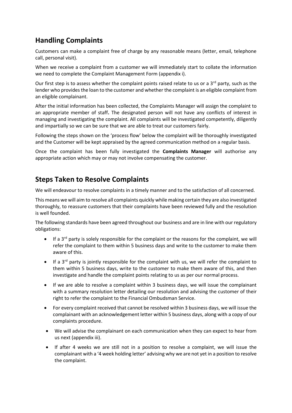## **Handling Complaints**

Customers can make a complaint free of charge by any reasonable means (letter, email, telephone call, personal visit).

When we receive a complaint from a customer we will immediately start to collate the information we need to complete the Complaint Management Form (appendix i).

Our first step is to assess whether the complaint points raised relate to us or a  $3<sup>rd</sup>$  party, such as the lender who provides the loan to the customer and whether the complaint is an eligible complaint from an eligible complainant.

After the initial information has been collected, the Complaints Manager will assign the complaint to an appropriate member of staff**.** The designated person will not have any conflicts of interest in managing and investigating the complaint. All complaints will be investigated competently, diligently and impartially so we can be sure that we are able to treat our customers fairly.

Following the steps shown on the 'process flow' below the complaint will be thoroughly investigated and the Customer will be kept appraised by the agreed communication method on a regular basis.

Once the complaint has been fully investigated the **Complaints Manager** will authorise any appropriate action which may or may not involve compensating the customer.

## **Steps Taken to Resolve Complaints**

We will endeavour to resolve complaints in a timely manner and to the satisfaction of all concerned.

This means we will aim to resolve all complaints quickly while making certain they are also investigated thoroughly, to reassure customers that their complaints have been reviewed fully and the resolution is well founded.

The following standards have been agreed throughout our business and are in line with our regulatory obligations:

- $\bullet$  If a 3<sup>rd</sup> party is solely responsible for the complaint or the reasons for the complaint, we will refer the complaint to them within 5 business days and write to the customer to make them aware of this.
- If a 3rd party is jointly responsible for the complaint with us, we will refer the complaint to them within 5 business days, write to the customer to make them aware of this, and then investigate and handle the complaint points relating to us as per our normal process.
- If we are able to resolve a complaint within 3 business days, we will issue the complainant with a summary resolution letter detailing our resolution and advising the customer of their right to refer the complaint to the Financial Ombudsman Service.
- For every complaint received that cannot be resolved within 3 business days, we will issue the complainant with an acknowledgement letter within 5 business days, along with a copy of our complaints procedure.
- We will advise the complainant on each communication when they can expect to hear from us next (appendix iii).
- If after 4 weeks we are still not in a position to resolve a complaint, we will issue the complainant with a '4 week holding letter' advising why we are not yet in a position to resolve the complaint.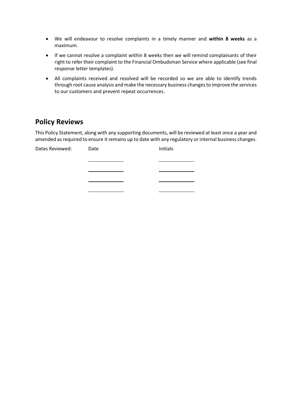- We will endeavour to resolve complaints in a timely manner and **within 8 weeks** as a maximum.
- If we cannot resolve a complaint within 8 weeks then we will remind complainants of their right to refer their complaint to the Financial Ombudsman Service where applicable (see final response letter templates).
- All complaints received and resolved will be recorded so we are able to identify trends through root cause analysis and make the necessary business changes to improve the services to our customers and prevent repeat occurrences.

## **Policy Reviews**

This Policy Statement, along with any supporting documents, will be reviewed at least once a year and amended as required to ensure it remains up to date with any regulatory or internal business changes.

| Dates Reviewed: | Date | Initials |
|-----------------|------|----------|
|                 |      |          |
|                 |      |          |
|                 |      |          |
|                 |      |          |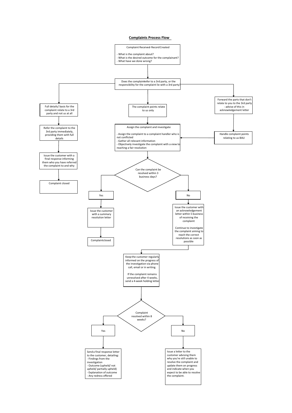#### **Complaints Process Flow**

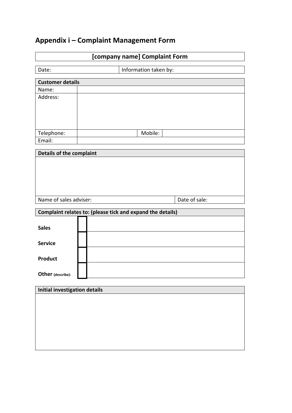# **Appendix i – Complaint Management Form**

| [company name] Complaint Form        |                                                            |  |  |
|--------------------------------------|------------------------------------------------------------|--|--|
| Date:                                | Information taken by:                                      |  |  |
| <b>Customer details</b>              |                                                            |  |  |
| Name:                                |                                                            |  |  |
| Address:                             |                                                            |  |  |
|                                      |                                                            |  |  |
|                                      |                                                            |  |  |
|                                      |                                                            |  |  |
| Telephone:                           | Mobile:                                                    |  |  |
| Email:                               |                                                            |  |  |
|                                      |                                                            |  |  |
| Details of the complaint             |                                                            |  |  |
|                                      |                                                            |  |  |
|                                      |                                                            |  |  |
|                                      |                                                            |  |  |
|                                      |                                                            |  |  |
| Name of sales adviser:               | Date of sale:                                              |  |  |
|                                      | Complaint relates to: (please tick and expand the details) |  |  |
|                                      |                                                            |  |  |
| <b>Sales</b>                         |                                                            |  |  |
|                                      |                                                            |  |  |
| <b>Service</b>                       |                                                            |  |  |
|                                      |                                                            |  |  |
| <b>Product</b>                       |                                                            |  |  |
|                                      |                                                            |  |  |
| Other (describe):                    |                                                            |  |  |
| <b>Initial investigation details</b> |                                                            |  |  |
|                                      |                                                            |  |  |
|                                      |                                                            |  |  |
|                                      |                                                            |  |  |
|                                      |                                                            |  |  |
|                                      |                                                            |  |  |
|                                      |                                                            |  |  |
|                                      |                                                            |  |  |